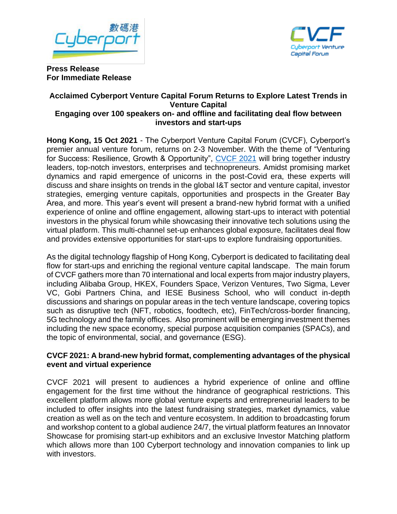



**Press Release For Immediate Release** 

### **Acclaimed Cyberport Venture Capital Forum Returns to Explore Latest Trends in Venture Capital Engaging over 100 speakers on- and offline and facilitating deal flow between investors and start-ups**

**Hong Kong, 15 Oct 2021** - The Cyberport Venture Capital Forum (CVCF), Cyberport's premier annual venture forum, returns on 2-3 November. With the theme of "Venturing for Success: Resilience, Growth & Opportunity", [CVCF 2021](http://cvcf.cyberport.hk/) will bring together industry leaders, top-notch investors, enterprises and technopreneurs. Amidst promising market dynamics and rapid emergence of unicorns in the post-Covid era, these experts will discuss and share insights on trends in the global I&T sector and venture capital, investor strategies, emerging venture capitals, opportunities and prospects in the Greater Bay Area, and more. This year's event will present a brand-new hybrid format with a unified experience of online and offline engagement, allowing start-ups to interact with potential investors in the physical forum while showcasing their innovative tech solutions using the virtual platform. This multi-channel set-up enhances global exposure, facilitates deal flow and provides extensive opportunities for start-ups to explore fundraising opportunities.

As the digital technology flagship of Hong Kong, Cyberport is dedicated to facilitating deal flow for start-ups and enriching the regional venture capital landscape. The main forum of CVCF gathers more than 70 international and local experts from major industry players, including Alibaba Group, HKEX, Founders Space, Verizon Ventures, Two Sigma, Lever VC, Gobi Partners China, and IESE Business School, who will conduct in-depth discussions and sharings on popular areas in the tech venture landscape, covering topics such as disruptive tech (NFT, robotics, foodtech, etc), FinTech/cross-border financing, 5G technology and the family offices. Also prominent will be emerging investment themes including the new space economy, special purpose acquisition companies (SPACs), and the topic of environmental, social, and governance (ESG).

## **CVCF 2021: A brand-new hybrid format, complementing advantages of the physical event and virtual experience**

CVCF 2021 will present to audiences a hybrid experience of online and offline engagement for the first time without the hindrance of geographical restrictions. This excellent platform allows more global venture experts and entrepreneurial leaders to be included to offer insights into the latest fundraising strategies, market dynamics, value creation as well as on the tech and venture ecosystem. In addition to broadcasting forum and workshop content to a global audience 24/7, the virtual platform features an Innovator Showcase for promising start-up exhibitors and an exclusive Investor Matching platform which allows more than 100 Cyberport technology and innovation companies to link up with investors.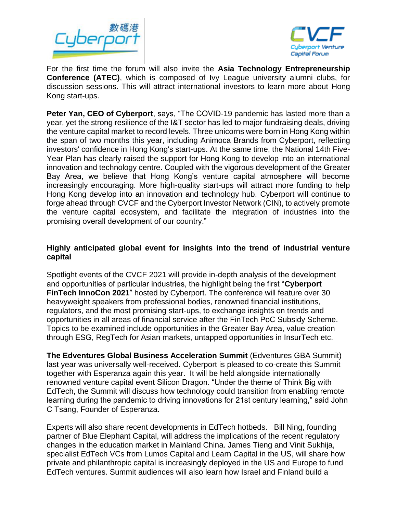



For the first time the forum will also invite the **Asia Technology Entrepreneurship Conference (ATEC)**, which is composed of Ivy League university alumni clubs, for discussion sessions. This will attract international investors to learn more about Hong Kong start-ups.

**Peter Yan, CEO of Cyberport**, says, "The COVID-19 pandemic has lasted more than a year, yet the strong resilience of the I&T sector has led to major fundraising deals, driving the venture capital market to record levels. Three unicorns were born in Hong Kong within the span of two months this year, including Animoca Brands from Cyberport, reflecting investors' confidence in Hong Kong's start-ups. At the same time, the National 14th Five-Year Plan has clearly raised the support for Hong Kong to develop into an international innovation and technology centre. Coupled with the vigorous development of the Greater Bay Area, we believe that Hong Kong's venture capital atmosphere will become increasingly encouraging. More high-quality start-ups will attract more funding to help Hong Kong develop into an innovation and technology hub. Cyberport will continue to forge ahead through CVCF and the Cyberport Investor Network (CIN), to actively promote the venture capital ecosystem, and facilitate the integration of industries into the promising overall development of our country."

## **Highly anticipated global event for insights into the trend of industrial venture capital**

Spotlight events of the CVCF 2021 will provide in-depth analysis of the development and opportunities of particular industries, the highlight being the first "**Cyberport FinTech InnoCon 2021**" hosted by Cyberport. The conference will feature over 30 heavyweight speakers from professional bodies, renowned financial institutions, regulators, and the most promising start-ups, to exchange insights on trends and opportunities in all areas of financial service after the FinTech PoC Subsidy Scheme. Topics to be examined include opportunities in the Greater Bay Area, value creation through ESG, RegTech for Asian markets, untapped opportunities in InsurTech etc.

**The Edventures Global Business Acceleration Summit** (Edventures GBA Summit) last year was universally well-received. Cyberport is pleased to co-create this Summit together with Esperanza again this year. It will be held alongside internationally renowned venture capital event Silicon Dragon. "Under the theme of Think Big with EdTech, the Summit will discuss how technology could transition from enabling remote learning during the pandemic to driving innovations for 21st century learning," said John C Tsang, Founder of Esperanza.

Experts will also share recent developments in EdTech hotbeds. Bill Ning, founding partner of Blue Elephant Capital, will address the implications of the recent regulatory changes in the education market in Mainland China. James Tieng and Vinit Sukhija, specialist EdTech VCs from Lumos Capital and Learn Capital in the US, will share how private and philanthropic capital is increasingly deployed in the US and Europe to fund EdTech ventures. Summit audiences will also learn how Israel and Finland build a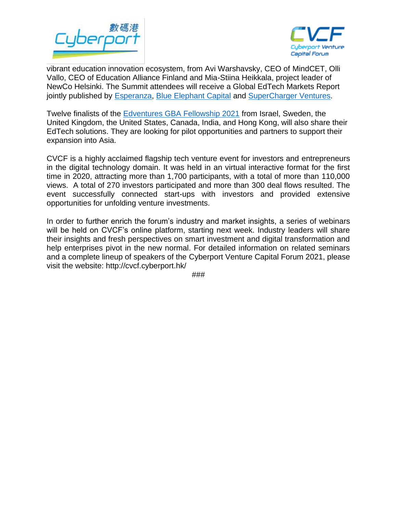



vibrant education innovation ecosystem, from Avi Warshavsky, CEO of MindCET, Olli Vallo, CEO of Education Alliance Finland and Mia-Stiina Heikkala, project leader of NewCo Helsinki. The Summit attendees will receive a Global EdTech Markets Report jointly published by **Esperanza, [Blue Elephant Capital](http://www.ibecapital.com/) and SuperCharger Ventures**.

Twelve finalists of the [Edventures GBA Fellowship 2021](https://www.edventuresgba.com/en/fellowship.html) from Israel, Sweden, the United Kingdom, the United States, Canada, India, and Hong Kong, will also share their EdTech solutions. They are looking for pilot opportunities and partners to support their expansion into Asia.

CVCF is a highly acclaimed flagship tech venture event for investors and entrepreneurs in the digital technology domain. It was held in an virtual interactive format for the first time in 2020, attracting more than 1,700 participants, with a total of more than 110,000 views. A total of 270 investors participated and more than 300 deal flows resulted. The event successfully connected start-ups with investors and provided extensive opportunities for unfolding venture investments.

In order to further enrich the forum's industry and market insights, a series of webinars will be held on CVCF's online platform, starting next week. Industry leaders will share their insights and fresh perspectives on smart investment and digital transformation and help enterprises pivot in the new normal. For detailed information on related seminars and a complete lineup of speakers of the Cyberport Venture Capital Forum 2021, please visit the website: http://cvcf.cyberport.hk/

###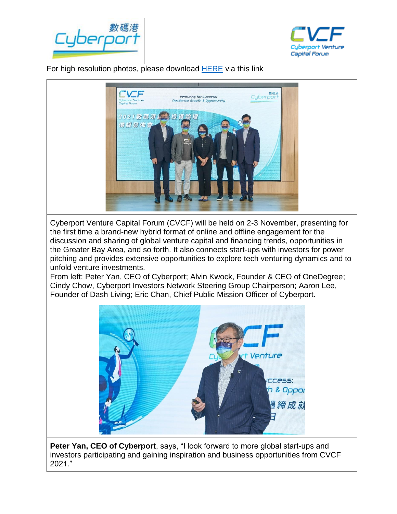



 For high resolution photos, please download [HERE](https://drive.google.com/drive/folders/1Mu8Aw0PC56QIMQt6gj8pym2i4ATfvhqy?usp=sharing) via this link



**Peter Yan, CEO of Cyberport**, says, "I look forward to more global start-ups and investors participating and gaining inspiration and business opportunities from CVCF 2021."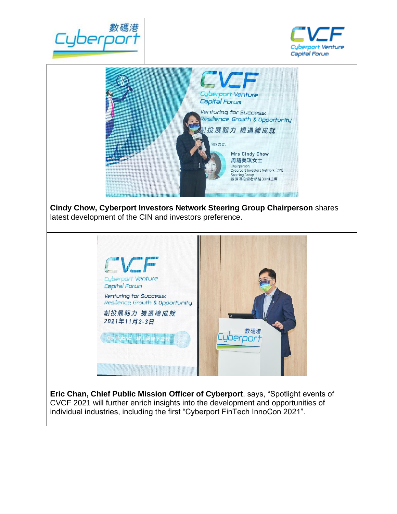



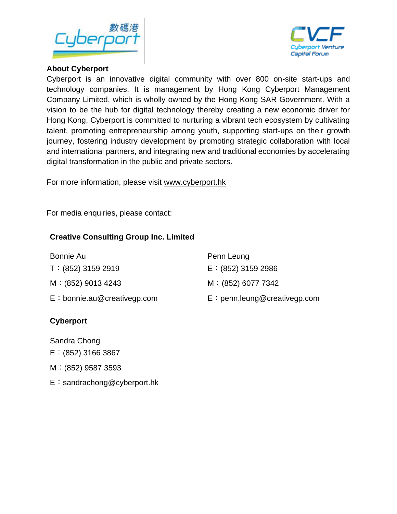



## **About Cyberport**

Cyberport is an innovative digital community with over 800 on-site start-ups and technology companies. It is management by Hong Kong Cyberport Management Company Limited, which is wholly owned by the Hong Kong SAR Government. With a vision to be the hub for digital technology thereby creating a new economic driver for Hong Kong, Cyberport is committed to nurturing a vibrant tech ecosystem by cultivating talent, promoting entrepreneurship among youth, supporting start-ups on their growth journey, fostering industry development by promoting strategic collaboration with local and international partners, and integrating new and traditional economies by accelerating digital transformation in the public and private sectors.

For more information, please visit [www.cyberport.hk](http://www.cyberport.hk/)

For media enquiries, please contact:

# **Creative Consulting Group Inc. Limited**

| Bonnie Au                     | Penn Leung                     |
|-------------------------------|--------------------------------|
| $T: (852)$ 3159 2919          | $E: (852)$ 3159 2986           |
| $M:(852)$ 9013 4243           | M: (852) 6077 7342             |
| $E:$ bonnie.au@creativegp.com | $E:$ penn.leung@creativegp.com |
|                               |                                |

# **Cyberport**

Sandra Chong

- E:(852) 3166 3867
- M:(852) 9587 3593
- E:sandrachong@cyberport.hk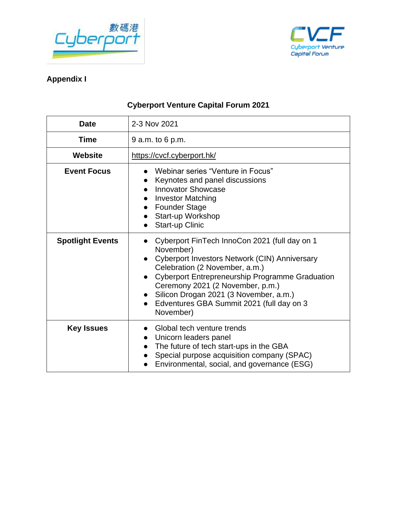



# **Appendix I**

# **Cyberport Venture Capital Forum 2021**

| <b>Date</b>             | 2-3 Nov 2021                                                                                                                                                                                                                                                                                                                                                                                                     |  |
|-------------------------|------------------------------------------------------------------------------------------------------------------------------------------------------------------------------------------------------------------------------------------------------------------------------------------------------------------------------------------------------------------------------------------------------------------|--|
| <b>Time</b>             | 9 a.m. to 6 p.m.                                                                                                                                                                                                                                                                                                                                                                                                 |  |
| Website                 | https://cvcf.cyberport.hk/                                                                                                                                                                                                                                                                                                                                                                                       |  |
| <b>Event Focus</b>      | Webinar series "Venture in Focus"<br>Keynotes and panel discussions<br><b>Innovator Showcase</b><br><b>Investor Matching</b><br><b>Founder Stage</b><br>Start-up Workshop<br>$\bullet$<br><b>Start-up Clinic</b><br>$\bullet$                                                                                                                                                                                    |  |
| <b>Spotlight Events</b> | Cyberport FinTech InnoCon 2021 (full day on 1<br>$\bullet$<br>November)<br>Cyberport Investors Network (CIN) Anniversary<br>$\bullet$<br>Celebration (2 November, a.m.)<br><b>Cyberport Entrepreneurship Programme Graduation</b><br>$\bullet$<br>Ceremony 2021 (2 November, p.m.)<br>Silicon Drogan 2021 (3 November, a.m.)<br>$\bullet$<br>Edventures GBA Summit 2021 (full day on 3<br>$\bullet$<br>November) |  |
| <b>Key Issues</b>       | Global tech venture trends<br>Unicorn leaders panel<br>The future of tech start-ups in the GBA<br>$\bullet$<br>Special purpose acquisition company (SPAC)<br>$\bullet$<br>Environmental, social, and governance (ESG)                                                                                                                                                                                            |  |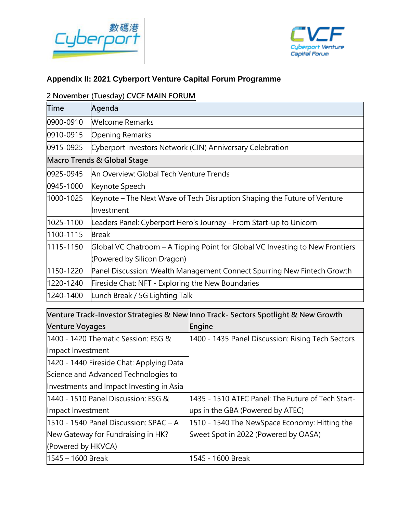



## **Appendix II: 2021 Cyberport Venture Capital Forum Programme**

### **2 November (Tuesday) CVCF MAIN FORUM**

| <b>Time</b>                 | Agenda                                                                        |  |  |  |
|-----------------------------|-------------------------------------------------------------------------------|--|--|--|
| 0900-0910                   | <b>Welcome Remarks</b>                                                        |  |  |  |
| 0910-0915                   | <b>Opening Remarks</b>                                                        |  |  |  |
| 0915-0925                   | Cyberport Investors Network (CIN) Anniversary Celebration                     |  |  |  |
| Macro Trends & Global Stage |                                                                               |  |  |  |
| 0925-0945                   | An Overview: Global Tech Venture Trends                                       |  |  |  |
| 0945-1000                   | Keynote Speech                                                                |  |  |  |
| 1000-1025                   | Keynote – The Next Wave of Tech Disruption Shaping the Future of Venture      |  |  |  |
|                             | Investment                                                                    |  |  |  |
| 1025-1100                   | Leaders Panel: Cyberport Hero's Journey - From Start-up to Unicorn            |  |  |  |
| 1100-1115                   | <b>Break</b>                                                                  |  |  |  |
| 1115-1150                   | Global VC Chatroom – A Tipping Point for Global VC Investing to New Frontiers |  |  |  |
|                             | (Powered by Silicon Dragon)                                                   |  |  |  |
| 1150-1220                   | Panel Discussion: Wealth Management Connect Spurring New Fintech Growth       |  |  |  |
| 1220-1240                   | Fireside Chat: NFT - Exploring the New Boundaries                             |  |  |  |
| 1240-1400                   | Lunch Break / 5G Lighting Talk                                                |  |  |  |

**Venture Track-Investor Strategies & New Inno Track- Sectors Spotlight & New Growth Venture Voyages Engine** 1400 - 1420 Thematic Session: ESG & Impact Investment 1400 - 1435 Panel Discussion: Rising Tech Sectors 1420 - 1440 Fireside Chat: Applying Data Science and Advanced Technologies to Investments and Impact Investing in Asia 1440 - 1510 Panel Discussion: ESG & Impact Investment 1435 - 1510 ATEC Panel: The Future of Tech Startups in the GBA (Powered by ATEC) 1510 - 1540 Panel Discussion: SPAC – A New Gateway for Fundraising in HK? (Powered by HKVCA) 1510 - 1540 The NewSpace Economy: Hitting the Sweet Spot in 2022 (Powered by OASA) 1545 – 1600 Break 1545 - 1600 Break